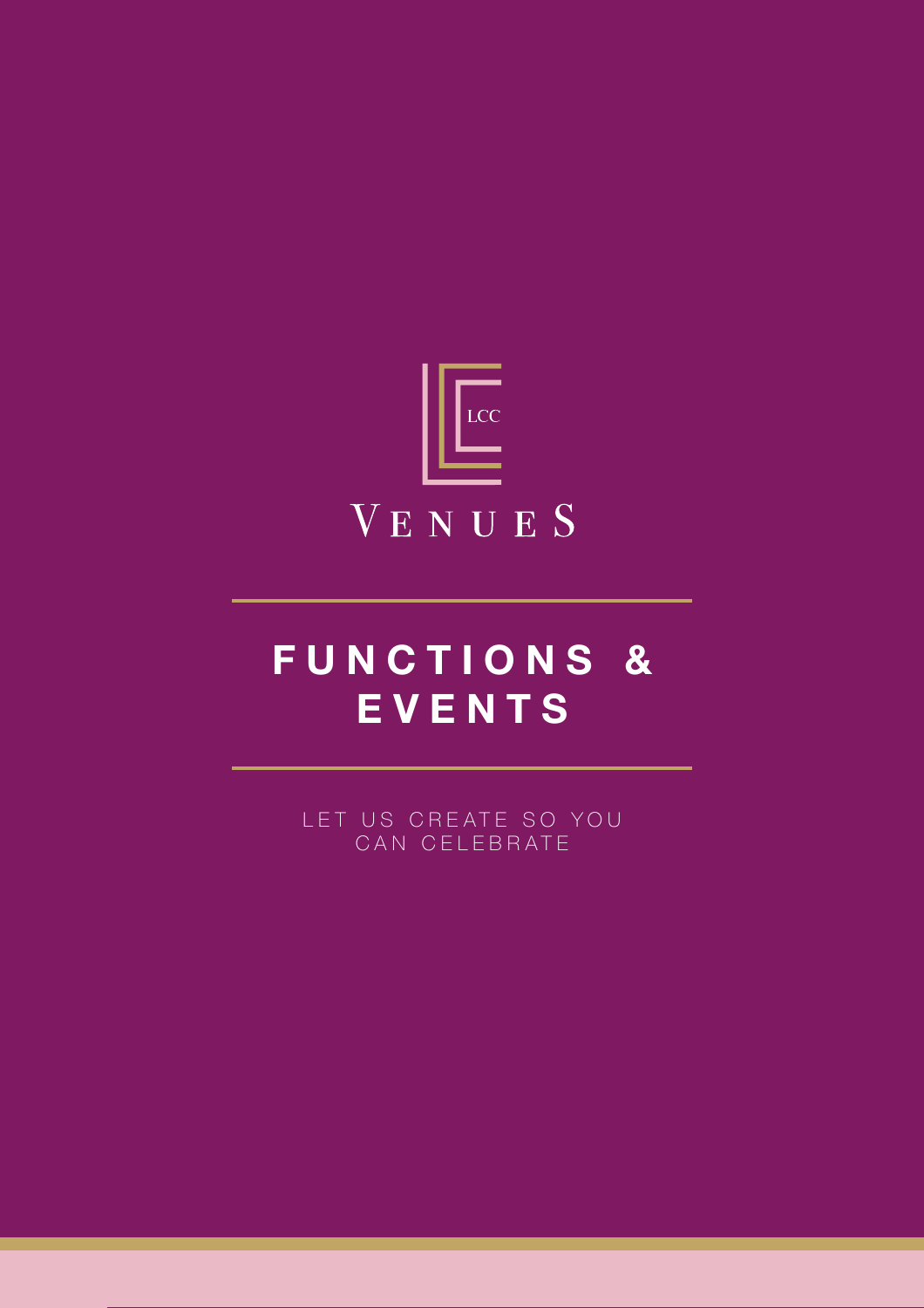

## FUNCTIONS & **EVENTS**

F U N C T I O N S & E V E N T S

LET US CREATE SO YOU CAN CELEBRATE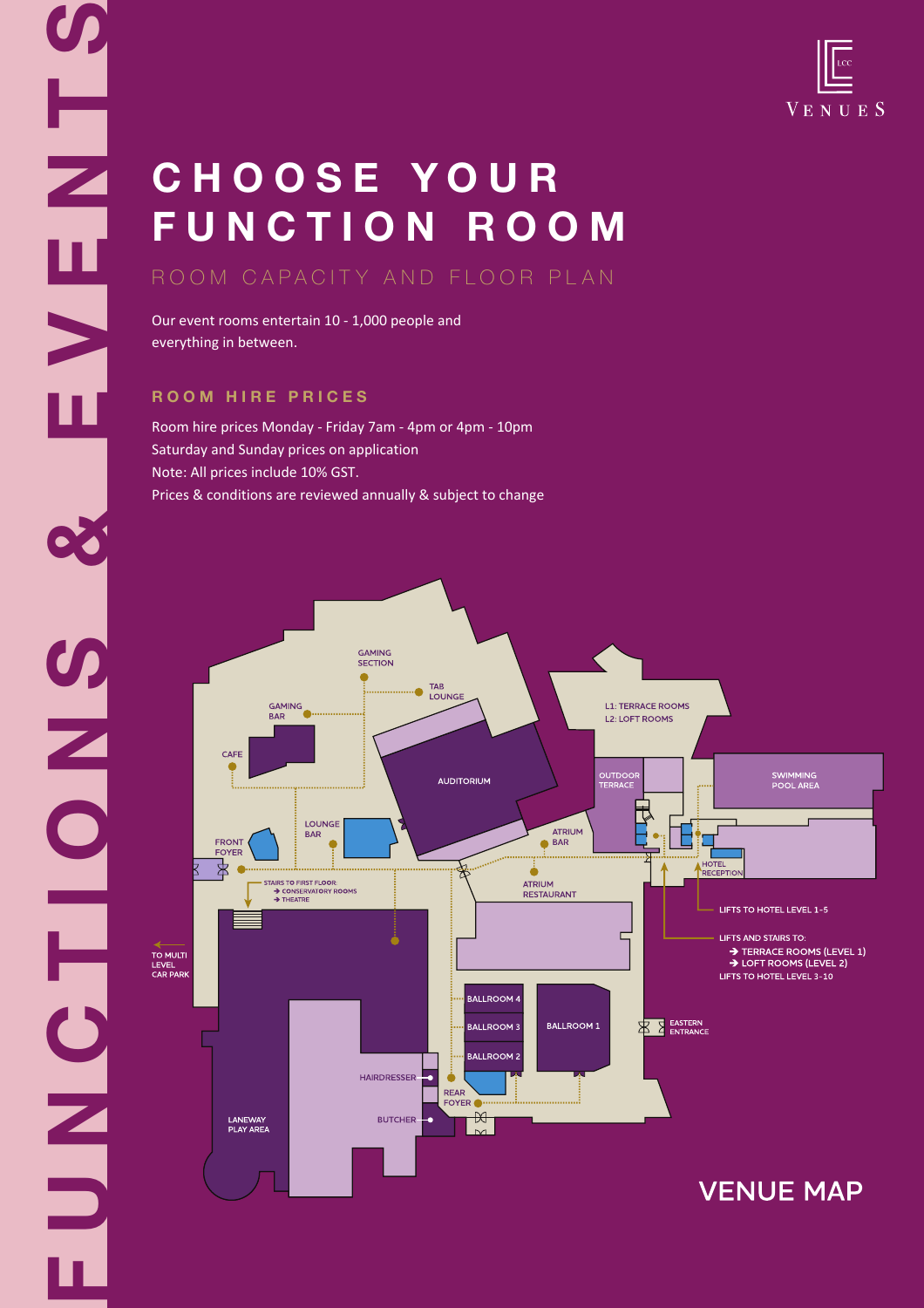# C H O O S E Y O U R FUNCTION ROOM

## ROOM CAPACITY AND FLOOR PLAN

Our event rooms entertain 10 - 1,000 people and everything in between.

## **R O O M H I R E P R I C E S**

۲

N<br>B<br>N<br>B<br>N

SMONS<br>NOLE

Room hire prices Monday - Friday 7am - 4pm or 4pm - 10pm Saturday and Sunday prices on application Note: All prices include 10% GST. Prices & conditions are reviewed annually & subject to change

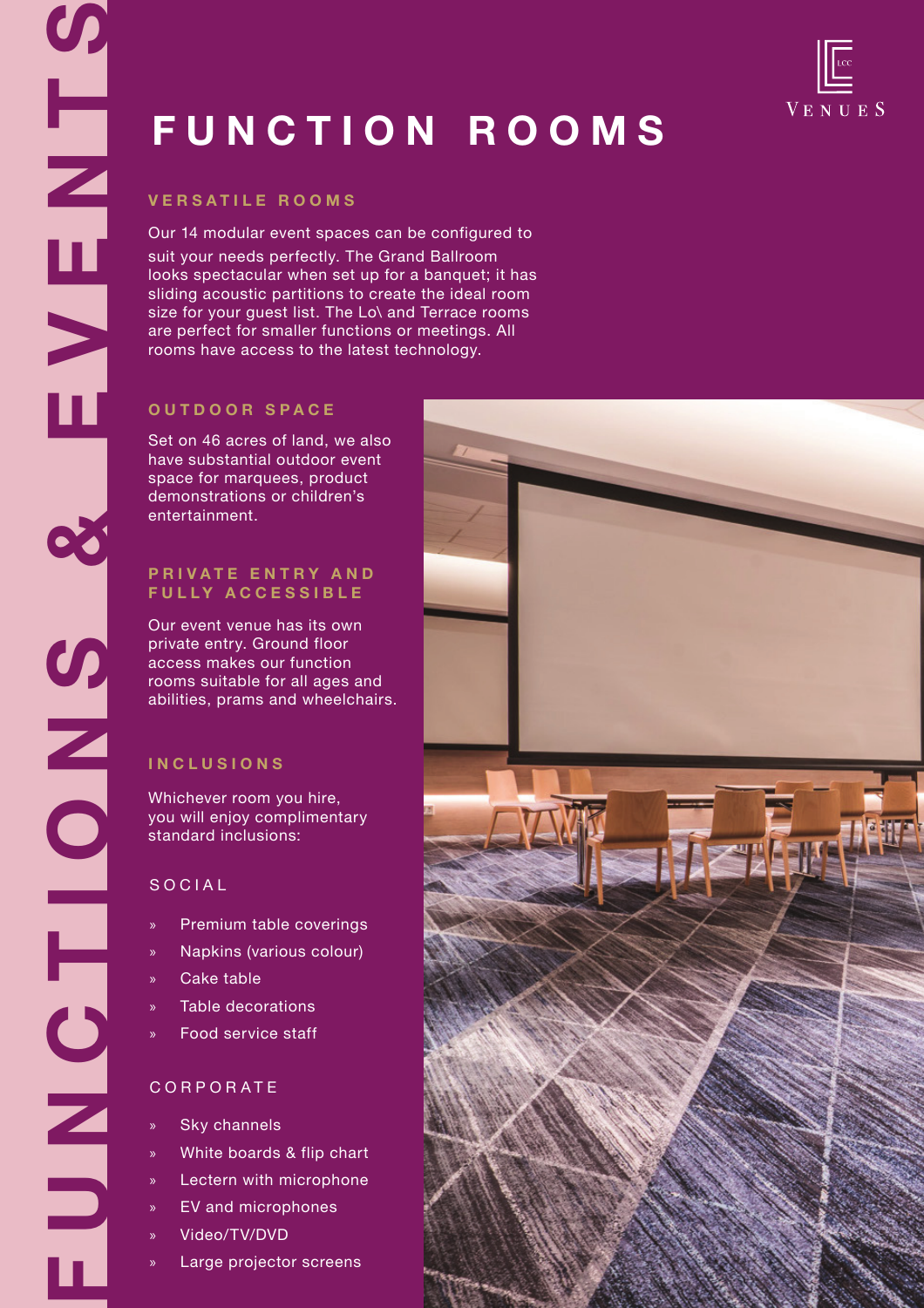# **VENUES**

# FUNCTION ROOMS

Our 14 modular event spaces can be configured to suit your needs perfectly. The Grand Ballroom looks spectacular when set up for a banquet; it has sliding acoustic partitions to create the ideal room size for your guest list. The Lo\ and Terrace rooms are perfect for smaller functions or meetings. All rooms have access to the latest technology.

## **O U T D O O R S P A C E**

Set on 46 acres of land, we also have substantial outdoor event space for marquees, product demonstrations or children's entertainment.

### **PRIVATE ENTRY AND F U L L Y A C C E S S I B L E**

Our event venue has its own private entry. Ground floor access makes our function rooms suitable for all ages and abilities, prams and wheelchairs.

## **I N C L U S I O N S**

Whichever room you hire, you will enjoy complimentary standard inclusions:

## **SOCIAL**

- » Premium table coverings
- » Napkins (various colour)
- » Cake table
- » Table decorations
- » Food service staff

## C O R P O R A T E

- Sky channels
- » White boards & flip chart
- Lectern with microphone
- » EV and microphones
- » Video/TV/DVD
- Large projector screens